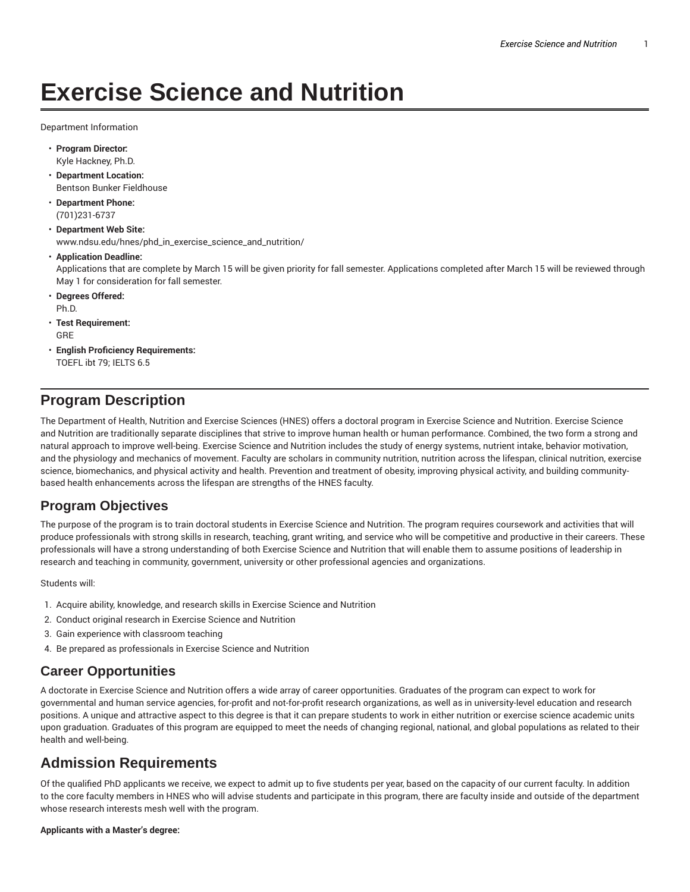# **Exercise Science and Nutrition**

Department Information

- **Program Director:** Kyle Hackney, Ph.D.
- **Department Location:** Bentson Bunker Fieldhouse
- **Department Phone:** (701)231-6737
- **Department Web Site:** www.ndsu.edu/hnes/phd\_in\_exercise\_science\_and\_nutrition/
- **Application Deadline:** Applications that are complete by March 15 will be given priority for fall semester. Applications completed after March 15 will be reviewed through May 1 for consideration for fall semester.
- **Degrees Offered:** Ph.D.
- **Test Requirement:** GRE
- **English Proficiency Requirements:** TOEFL ibt 79; IELTS 6.5

### **Program Description**

The Department of Health, Nutrition and Exercise Sciences (HNES) offers a doctoral program in Exercise Science and Nutrition. Exercise Science and Nutrition are traditionally separate disciplines that strive to improve human health or human performance. Combined, the two form a strong and natural approach to improve well-being. Exercise Science and Nutrition includes the study of energy systems, nutrient intake, behavior motivation, and the physiology and mechanics of movement. Faculty are scholars in community nutrition, nutrition across the lifespan, clinical nutrition, exercise science, biomechanics, and physical activity and health. Prevention and treatment of obesity, improving physical activity, and building communitybased health enhancements across the lifespan are strengths of the HNES faculty.

### **Program Objectives**

The purpose of the program is to train doctoral students in Exercise Science and Nutrition. The program requires coursework and activities that will produce professionals with strong skills in research, teaching, grant writing, and service who will be competitive and productive in their careers. These professionals will have a strong understanding of both Exercise Science and Nutrition that will enable them to assume positions of leadership in research and teaching in community, government, university or other professional agencies and organizations.

Students will:

- 1. Acquire ability, knowledge, and research skills in Exercise Science and Nutrition
- 2. Conduct original research in Exercise Science and Nutrition
- 3. Gain experience with classroom teaching
- 4. Be prepared as professionals in Exercise Science and Nutrition

### **Career Opportunities**

A doctorate in Exercise Science and Nutrition offers a wide array of career opportunities. Graduates of the program can expect to work for governmental and human service agencies, for-profit and not-for-profit research organizations, as well as in university-level education and research positions. A unique and attractive aspect to this degree is that it can prepare students to work in either nutrition or exercise science academic units upon graduation. Graduates of this program are equipped to meet the needs of changing regional, national, and global populations as related to their health and well-being.

### **Admission Requirements**

Of the qualified PhD applicants we receive, we expect to admit up to five students per year, based on the capacity of our current faculty. In addition to the core faculty members in HNES who will advise students and participate in this program, there are faculty inside and outside of the department whose research interests mesh well with the program.

#### **Applicants with a Master's degree:**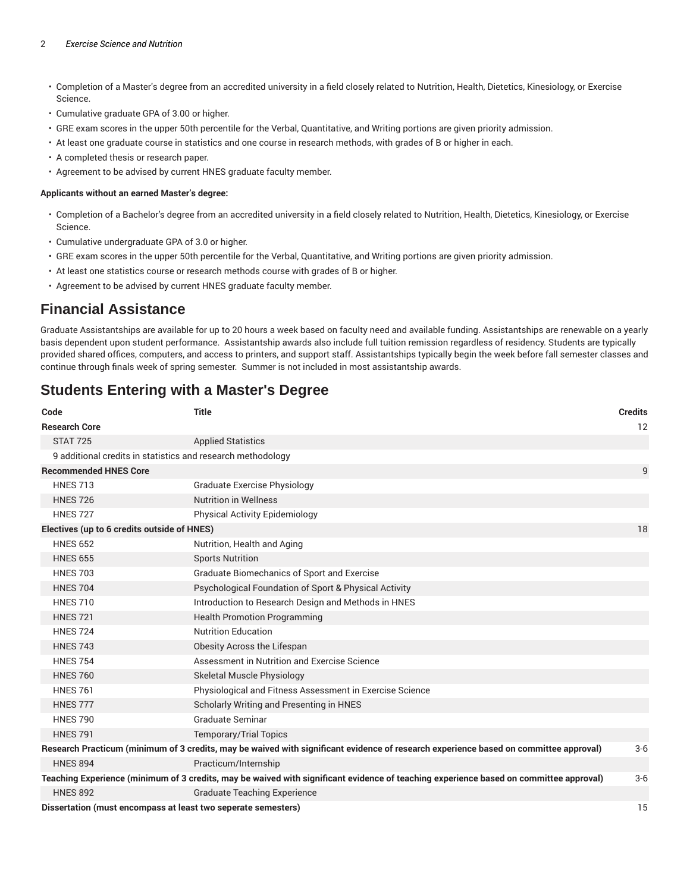#### 2 *Exercise Science and Nutrition*

- Completion of a Master's degree from an accredited university in a field closely related to Nutrition, Health, Dietetics, Kinesiology, or Exercise Science.
- Cumulative graduate GPA of 3.00 or higher.
- GRE exam scores in the upper 50th percentile for the Verbal, Quantitative, and Writing portions are given priority admission.
- At least one graduate course in statistics and one course in research methods, with grades of B or higher in each.
- A completed thesis or research paper.
- Agreement to be advised by current HNES graduate faculty member.

#### **Applicants without an earned Master's degree:**

- Completion of a Bachelor's degree from an accredited university in a field closely related to Nutrition, Health, Dietetics, Kinesiology, or Exercise Science.
- Cumulative undergraduate GPA of 3.0 or higher.
- GRE exam scores in the upper 50th percentile for the Verbal, Quantitative, and Writing portions are given priority admission.
- At least one statistics course or research methods course with grades of B or higher.
- Agreement to be advised by current HNES graduate faculty member.

### **Financial Assistance**

Graduate Assistantships are available for up to 20 hours a week based on faculty need and available funding. Assistantships are renewable on a yearly basis dependent upon student performance. Assistantship awards also include full tuition remission regardless of residency. Students are typically provided shared offices, computers, and access to printers, and support staff. Assistantships typically begin the week before fall semester classes and continue through finals week of spring semester. Summer is not included in most assistantship awards.

### **Students Entering with a Master's Degree**

| Code                                                                                                                                   | <b>Title</b>                                             | <b>Credits</b> |
|----------------------------------------------------------------------------------------------------------------------------------------|----------------------------------------------------------|----------------|
| <b>Research Core</b>                                                                                                                   |                                                          | 12             |
| <b>STAT 725</b>                                                                                                                        | <b>Applied Statistics</b>                                |                |
| 9 additional credits in statistics and research methodology                                                                            |                                                          |                |
| <b>Recommended HNES Core</b>                                                                                                           |                                                          | 9              |
| <b>HNES 713</b>                                                                                                                        | Graduate Exercise Physiology                             |                |
| <b>HNES 726</b>                                                                                                                        | <b>Nutrition in Wellness</b>                             |                |
| <b>HNES 727</b>                                                                                                                        | Physical Activity Epidemiology                           |                |
| Electives (up to 6 credits outside of HNES)                                                                                            |                                                          |                |
| <b>HNES 652</b>                                                                                                                        | Nutrition, Health and Aging                              |                |
| <b>HNES 655</b>                                                                                                                        | <b>Sports Nutrition</b>                                  |                |
| <b>HNES 703</b>                                                                                                                        | Graduate Biomechanics of Sport and Exercise              |                |
| <b>HNES 704</b>                                                                                                                        | Psychological Foundation of Sport & Physical Activity    |                |
| <b>HNES 710</b>                                                                                                                        | Introduction to Research Design and Methods in HNES      |                |
| <b>HNES 721</b>                                                                                                                        | <b>Health Promotion Programming</b>                      |                |
| <b>HNES 724</b>                                                                                                                        | <b>Nutrition Education</b>                               |                |
| <b>HNES 743</b>                                                                                                                        | Obesity Across the Lifespan                              |                |
| <b>HNES 754</b>                                                                                                                        | Assessment in Nutrition and Exercise Science             |                |
| <b>HNES 760</b>                                                                                                                        | Skeletal Muscle Physiology                               |                |
| <b>HNES 761</b>                                                                                                                        | Physiological and Fitness Assessment in Exercise Science |                |
| <b>HNES 777</b>                                                                                                                        | Scholarly Writing and Presenting in HNES                 |                |
| <b>HNES 790</b>                                                                                                                        | Graduate Seminar                                         |                |
| <b>HNES 791</b>                                                                                                                        | <b>Temporary/Trial Topics</b>                            |                |
| Research Practicum (minimum of 3 credits, may be waived with significant evidence of research experience based on committee approval)  |                                                          | $3-6$          |
| <b>HNES 894</b>                                                                                                                        | Practicum/Internship                                     |                |
| Teaching Experience (minimum of 3 credits, may be waived with significant evidence of teaching experience based on committee approval) |                                                          |                |
| <b>HNES 892</b>                                                                                                                        | <b>Graduate Teaching Experience</b>                      |                |
| Dissertation (must encompass at least two seperate semesters)                                                                          |                                                          | 15             |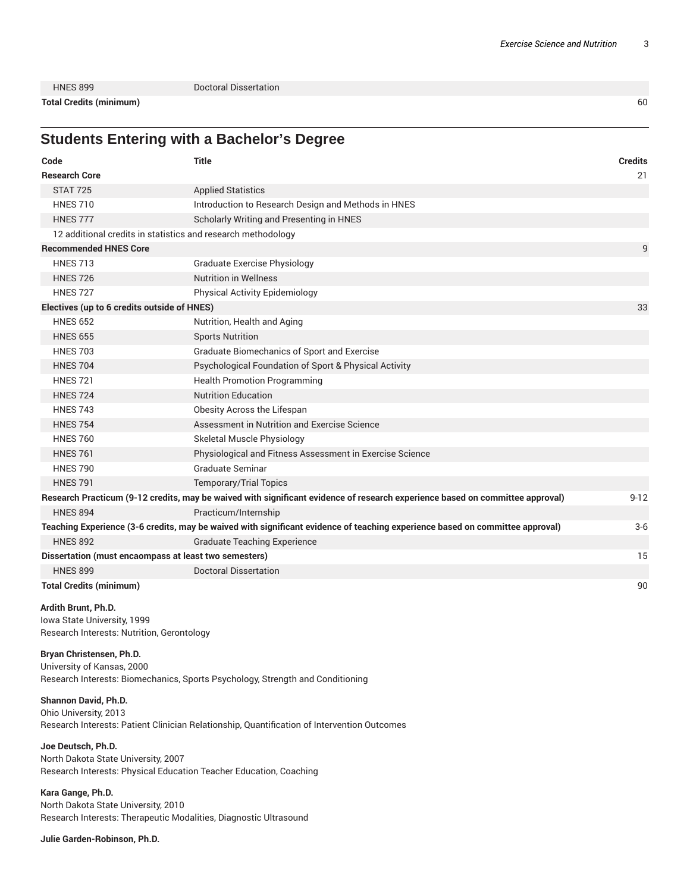**Total Credits (minimum)** 60

HNES 899 Doctoral Dissertation

## **Students Entering with a Bachelor's Degree**

| Code                                                                                                                          | <b>Title</b>                                                                                                                  | <b>Credits</b> |
|-------------------------------------------------------------------------------------------------------------------------------|-------------------------------------------------------------------------------------------------------------------------------|----------------|
| <b>Research Core</b>                                                                                                          |                                                                                                                               | 21             |
| <b>STAT 725</b>                                                                                                               | <b>Applied Statistics</b>                                                                                                     |                |
| <b>HNES 710</b>                                                                                                               | Introduction to Research Design and Methods in HNES                                                                           |                |
| <b>HNES 777</b>                                                                                                               | Scholarly Writing and Presenting in HNES                                                                                      |                |
| 12 additional credits in statistics and research methodology                                                                  |                                                                                                                               |                |
| <b>Recommended HNES Core</b>                                                                                                  |                                                                                                                               | 9              |
| <b>HNES 713</b>                                                                                                               | <b>Graduate Exercise Physiology</b>                                                                                           |                |
| <b>HNES 726</b>                                                                                                               | <b>Nutrition in Wellness</b>                                                                                                  |                |
| <b>HNES 727</b>                                                                                                               | Physical Activity Epidemiology                                                                                                |                |
| Electives (up to 6 credits outside of HNES)                                                                                   |                                                                                                                               |                |
| <b>HNES 652</b>                                                                                                               | Nutrition, Health and Aging                                                                                                   |                |
| <b>HNES 655</b>                                                                                                               | <b>Sports Nutrition</b>                                                                                                       |                |
| <b>HNES 703</b>                                                                                                               | Graduate Biomechanics of Sport and Exercise                                                                                   |                |
| <b>HNES 704</b>                                                                                                               | Psychological Foundation of Sport & Physical Activity                                                                         |                |
| <b>HNES 721</b>                                                                                                               | <b>Health Promotion Programming</b>                                                                                           |                |
| <b>HNES 724</b>                                                                                                               | <b>Nutrition Education</b>                                                                                                    |                |
| <b>HNES 743</b>                                                                                                               | Obesity Across the Lifespan                                                                                                   |                |
| <b>HNES 754</b>                                                                                                               | Assessment in Nutrition and Exercise Science                                                                                  |                |
| <b>HNES 760</b>                                                                                                               | Skeletal Muscle Physiology                                                                                                    |                |
| <b>HNES 761</b>                                                                                                               | Physiological and Fitness Assessment in Exercise Science                                                                      |                |
| <b>HNES 790</b>                                                                                                               | Graduate Seminar                                                                                                              |                |
| <b>HNES 791</b>                                                                                                               | <b>Temporary/Trial Topics</b>                                                                                                 |                |
|                                                                                                                               | Research Practicum (9-12 credits, may be waived with significant evidence of research experience based on committee approval) | $9 - 12$       |
| <b>HNES 894</b>                                                                                                               | Practicum/Internship                                                                                                          |                |
| Teaching Experience (3-6 credits, may be waived with significant evidence of teaching experience based on committee approval) |                                                                                                                               | $3-6$          |
| <b>HNES 892</b>                                                                                                               | <b>Graduate Teaching Experience</b>                                                                                           |                |
| Dissertation (must encaompass at least two semesters)                                                                         |                                                                                                                               | 15             |
| <b>HNES 899</b>                                                                                                               | <b>Doctoral Dissertation</b>                                                                                                  |                |
| <b>Total Credits (minimum)</b>                                                                                                |                                                                                                                               | 90             |

#### **Ardith Brunt, Ph.D.**

Iowa State University, 1999 Research Interests: Nutrition, Gerontology

### **Bryan Christensen, Ph.D.**

University of Kansas, 2000 Research Interests: Biomechanics, Sports Psychology, Strength and Conditioning

#### **Shannon David, Ph.D.**

Ohio University, 2013 Research Interests: Patient Clinician Relationship, Quantification of Intervention Outcomes

#### **Joe Deutsch, Ph.D.**

North Dakota State University, 2007 Research Interests: Physical Education Teacher Education, Coaching

### **Kara Gange, Ph.D.**

North Dakota State University, 2010 Research Interests: Therapeutic Modalities, Diagnostic Ultrasound

**Julie Garden-Robinson, Ph.D.**